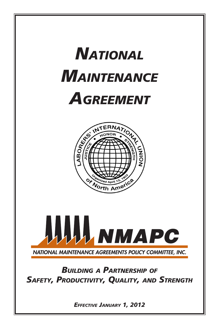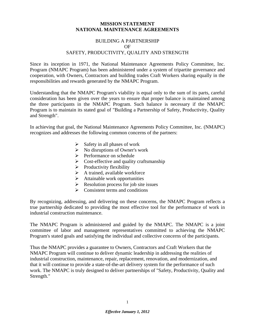#### **MISSION STATEMENT NATIONAL MAINTENANCE AGREEMENTS**

#### BUILDING A PARTNERSHIP OF SAFETY, PRODUCTIVITY, QUALITY AND STRENGTH

Since its inception in 1971, the National Maintenance Agreements Policy Committee, Inc. Program (NMAPC Program) has been administered under a system of tripartite governance and cooperation, with Owners, Contractors and building trades Craft Workers sharing equally in the responsibilities and rewards generated by the NMAPC Program.

Understanding that the NMAPC Program's viability is equal only to the sum of its parts, careful consideration has been given over the years to ensure that proper balance is maintained among the three participants in the NMAPC Program. Such balance is necessary if the NMAPC Program is to maintain its stated goal of "Building a Partnership of Safety, Productivity, Quality and Strength".

In achieving that goal, the National Maintenance Agreements Policy Committee, Inc. (NMAPC) recognizes and addresses the following common concerns of the partners:

- $\triangleright$  Safety in all phases of work
- $\triangleright$  No disruptions of Owner's work
- $\triangleright$  Performance on schedule
- $\triangleright$  Cost-effective and quality craftsmanship
- $\triangleright$  Productivity flexibility
- $\triangleright$  A trained, available workforce
- $\triangleright$  Attainable work opportunities
- $\triangleright$  Resolution process for job site issues
- $\triangleright$  Consistent terms and conditions

By recognizing, addressing, and delivering on these concerns, the NMAPC Program reflects a true partnership dedicated to providing the most effective tool for the performance of work in industrial construction maintenance.

The NMAPC Program is administered and guided by the NMAPC. The NMAPC is a joint committee of labor and management representatives committed to achieving the NMAPC Program's stated goals and satisfying the individual and collective concerns of the participants.

Thus the NMAPC provides a guarantee to Owners, Contractors and Craft Workers that the NMAPC Program will continue to deliver dynamic leadership in addressing the realities of industrial construction, maintenance, repair, replacement, renovation, and modernization, and that it will continue to provide a state-of-the-art delivery system for the performance of such work. The NMAPC is truly designed to deliver partnerships of "Safety, Productivity, Quality and Strength."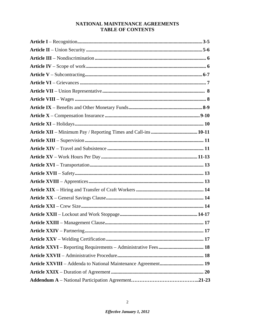#### NATIONAL MAINTENANCE AGREEMENTS **TABLE OF CONTENTS**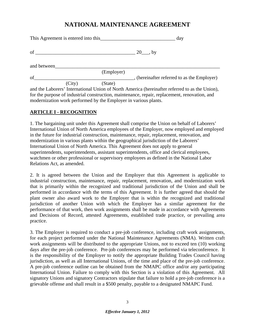# **NATIONAL MAINTENANCE AGREEMENT**

| This Agreement is entered into this |        |            | day                                                                                            |  |
|-------------------------------------|--------|------------|------------------------------------------------------------------------------------------------|--|
|                                     |        |            |                                                                                                |  |
| and between                         |        |            |                                                                                                |  |
|                                     |        | (Employer) |                                                                                                |  |
| of                                  |        |            | _, (hereinafter referred to as the Employer)                                                   |  |
|                                     | (City) | (State)    |                                                                                                |  |
|                                     |        |            | and the Laborers' International Union of North America (hereinafter referred to as the Union), |  |
|                                     |        |            | for the purpose of industrial construction, maintenance, repair, replacement, renovation, and  |  |

#### **ARTICLE I - RECOGNITION**

modernization work performed by the Employer in various plants.

1. The bargaining unit under this Agreement shall comprise the Union on behalf of Laborers' International Union of North America employees of the Employer, now employed and employed in the future for industrial construction, maintenance, repair, replacement, renovation, and modernization in various plants within the geographical jurisdiction of the Laborers' International Union of North America. This Agreement does not apply to general superintendents, superintendents, assistant superintendents, office and clerical employees, watchmen or other professional or supervisory employees as defined in the National Labor Relations Act, as amended.

2. It is agreed between the Union and the Employer that this Agreement is applicable to industrial construction, maintenance, repair, replacement, renovation, and modernization work that is primarily within the recognized and traditional jurisdiction of the Union and shall be performed in accordance with the terms of this Agreement. It is further agreed that should the plant owner also award work to the Employer that is within the recognized and traditional jurisdiction of another Union with which the Employer has a similar agreement for the performance of that work, then work assignments shall be made in accordance with Agreements and Decisions of Record, attested Agreements, established trade practice, or prevailing area practice.

3. The Employer is required to conduct a pre-job conference, including craft work assignments, for each project performed under the National Maintenance Agreements (NMA). Written craft work assignments will be distributed to the appropriate Unions, not to exceed ten (10) working days after the pre-job conference. Pre-job conferences may be performed via teleconference. It is the responsibility of the Employer to notify the appropriate Building Trades Council having jurisdiction, as well as all International Unions, of the time and place of the pre-job conference. A pre-job conference outline can be obtained from the NMAPC office and/or any participating International Union. Failure to comply with this Section is a violation of this Agreement. All signatory Unions and signatory Contractors stipulate that failure to hold a pre-job conference is a grievable offense and shall result in a \$500 penalty, payable to a designated NMAPC Fund.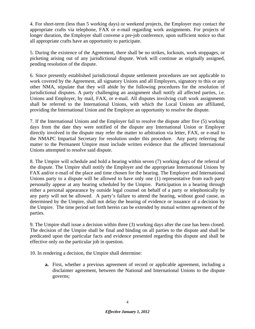4. For short-term (less than 5 working days) or weekend projects, the Employer may contact the appropriate crafts via telephone, FAX or e-mail regarding work assignments. For projects of longer duration, the Employer shall convene a pre-job conference, upon sufficient notice so that all appropriate crafts have an opportunity to participate.

5. During the existence of the Agreement, there shall be no strikes, lockouts, work stoppages, or picketing arising out of any jurisdictional dispute. Work will continue as originally assigned, pending resolution of the dispute.

6. Since presently established jurisdictional dispute settlement procedures are not applicable to work covered by the Agreement, all signatory Unions and all Employers, signatory to this or any other NMA, stipulate that they will abide by the following procedures for the resolution of jurisdictional disputes. A party challenging an assignment shall notify all affected parties, i.e. Unions and Employer, by mail, FAX, or e-mail. All disputes involving craft work assignments shall be referred to the International Unions, with which the Local Unions are affiliated, providing the International Union and the Employer an opportunity to resolve the dispute.

7. If the International Unions and the Employer fail to resolve the dispute after five (5) working days from the date they were notified of the dispute any International Union or Employer directly involved in the dispute may refer the matter to arbitration via letter, FAX, or e-mail to the NMAPC Impartial Secretary for resolution under this procedure. Any party referring the matter to the Permanent Umpire must include written evidence that the affected International Unions attempted to resolve said dispute.

8. The Umpire will schedule and hold a hearing within seven (7) working days of the referral of the dispute. The Umpire shall notify the Employer and the appropriate International Unions by FAX and/or e-mail of the place and time chosen for the hearing. The Employer and International Unions party to a dispute will be allowed to have only one (1) representative from each party personally appear at any hearing scheduled by the Umpire. Participation in a hearing through either a personal appearance by outside legal counsel on behalf of a party or telephonically by any party will not be allowed. A party's failure to attend the hearing, without good cause, as determined by the Umpire, shall not delay the hearing of evidence or issuance of a decision by the Umpire. The time period set forth herein can be extended by mutual written agreement of the parties.

9. The Umpire shall issue a decision within three (3) working days after the case has been closed. The decision of the Umpire shall be final and binding on all parties to the dispute and shall be predicated upon the particular facts and evidence presented regarding this dispute and shall be effective only on the particular job in question.

10. In rendering a decision, the Umpire shall determine:

**a.** First, whether a previous agreement of record or applicable agreement, including a disclaimer agreement, between the National and International Unions to the dispute governs;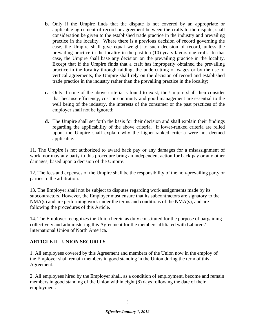- **b.** Only if the Umpire finds that the dispute is not covered by an appropriate or applicable agreement of record or agreement between the crafts to the dispute, shall consideration be given to the established trade practice in the industry and prevailing practice in the locality. Where there is a previous decision of record governing the case, the Umpire shall give equal weight to such decision of record, unless the prevailing practice in the locality in the past ten (10) years favors one craft. In that case, the Umpire shall base any decision on the prevailing practice in the locality. Except that if the Umpire finds that a craft has improperly obtained the prevailing practice in the locality through raiding, the undercutting of wages or by the use of vertical agreements, the Umpire shall rely on the decision of record and established trade practice in the industry rather than the prevailing practice in the locality;
- **c.** Only if none of the above criteria is found to exist, the Umpire shall then consider that because efficiency, cost or continuity and good management are essential to the well being of the industry, the interests of the consumer or the past practices of the employer shall not be ignored;
- **d.** The Umpire shall set forth the basis for their decision and shall explain their findings regarding the applicability of the above criteria. If lower-ranked criteria are relied upon, the Umpire shall explain why the higher-ranked criteria were not deemed applicable.

11. The Umpire is not authorized to award back pay or any damages for a misassignment of work, nor may any party to this procedure bring an independent action for back pay or any other damages, based upon a decision of the Umpire.

12. The fees and expenses of the Umpire shall be the responsibility of the non-prevailing party or parties to the arbitration.

13. The Employer shall not be subject to disputes regarding work assignments made by its subcontractors. However, the Employer must ensure that its subcontractors are signatory to the NMA(s) and are performing work under the terms and conditions of the NMA(s), and are following the procedures of this Article.

14. The Employer recognizes the Union herein as duly constituted for the purpose of bargaining collectively and administering this Agreement for the members affiliated with Laborers' International Union of North America.

## **ARTICLE II - UNION SECURITY**

1. All employees covered by this Agreement and members of the Union now in the employ of the Employer shall remain members in good standing in the Union during the term of this Agreement.

2. All employees hired by the Employer shall, as a condition of employment, become and remain members in good standing of the Union within eight (8) days following the date of their employment.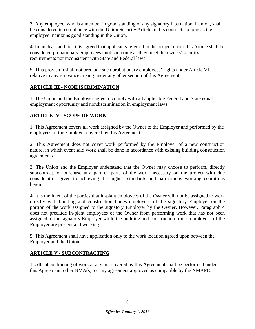3. Any employee, who is a member in good standing of any signatory International Union, shall be considered in compliance with the Union Security Article in this contract, so long as the employee maintains good standing in the Union.

4. In nuclear facilities it is agreed that applicants referred to the project under this Article shall be considered probationary employees until such time as they meet the owners' security requirements not inconsistent with State and Federal laws.

5. This provision shall not preclude such probationary employees' rights under Article VI relative to any grievance arising under any other section of this Agreement.

## **ARTICLE III - NONDISCRIMINATION**

1. The Union and the Employer agree to comply with all applicable Federal and State equal employment opportunity and nondiscrimination in employment laws.

## **ARTICLE IV - SCOPE OF WORK**

1. This Agreement covers all work assigned by the Owner to the Employer and performed by the employees of the Employer covered by this Agreement.

2. This Agreement does not cover work performed by the Employer of a new construction nature, in which event said work shall be done in accordance with existing building construction agreements.

3. The Union and the Employer understand that the Owner may choose to perform, directly subcontract, or purchase any part or parts of the work necessary on the project with due consideration given to achieving the highest standards and harmonious working conditions herein.

4. It is the intent of the parties that in-plant employees of the Owner will not be assigned to work directly with building and construction trades employees of the signatory Employer on the portion of the work assigned to the signatory Employer by the Owner. However, Paragraph 4 does not preclude in-plant employees of the Owner from performing work that has not been assigned to the signatory Employer while the building and construction trades employees of the Employer are present and working.

5. This Agreement shall have application only to the work location agreed upon between the Employer and the Union.

## **ARTICLE V - SUBCONTRACTING**

1. All subcontracting of work at any tier covered by this Agreement shall be performed under this Agreement, other NMA(s), or any agreement approved as compatible by the NMAPC.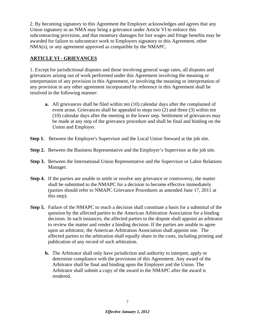2. By becoming signatory to this Agreement the Employer acknowledges and agrees that any Union signatory to an NMA may bring a grievance under Article VI to enforce this subcontracting provision, and that monetary damages for lost wages and fringe benefits may be awarded for failure to subcontract work to Employers signatory to this Agreement, other NMA(s), or any agreement approved as compatible by the NMAPC.

## **ARTICLE VI - GRIEVANCES**

1. Except for jurisdictional disputes and those involving general wage rates, all disputes and grievances arising out of work performed under this Agreement involving the meaning or interpretation of any provision in this Agreement, or involving the meaning or interpretation of any provision in any other agreement incorporated by reference in this Agreement shall be resolved in the following manner:

- **a.** All grievances shall be filed within ten (10) calendar days after the complained of event arose. Grievances shall be appealed to steps two (2) and three (3) within ten (10) calendar days after the meeting in the lower step. Settlement of grievances may be made at any step of the grievance procedure and shall be final and binding on the Union and Employer.
- **Step 1.** Between the Employer's Supervisor and the Local Union Steward at the job site.
- **Step 2.** Between the Business Representative and the Employer's Supervisor at the job site.
- **Step 3.** Between the International Union Representative and the Supervisor or Labor Relations Manager.
- **Step 4.** If the parties are unable to settle or resolve any grievance or controversy, the matter shall be submitted to the NMAPC for a decision to become effective immediately (parties should refer to NMAPC Grievance Procedures as amended June 17, 2011 at this step).
- **Step 5.** Failure of the NMAPC to reach a decision shall constitute a basis for a submittal of the question by the affected parties to the American Arbitration Association for a binding decision. In such instances, the affected parties to the dispute shall appoint an arbitrator to review the matter and render a binding decision. If the parties are unable to agree upon an arbitrator, the American Arbitration Association shall appoint one. The affected parties to the arbitration shall equally share in the costs, including printing and publication of any record of such arbitration.
	- **b.** The Arbitrator shall only have jurisdiction and authority to interpret, apply or determine compliance with the provisions of this Agreement. Any award of the Arbitrator shall be final and binding upon the Employer and the Union. The Arbitrator shall submit a copy of the award to the NMAPC after the award is rendered.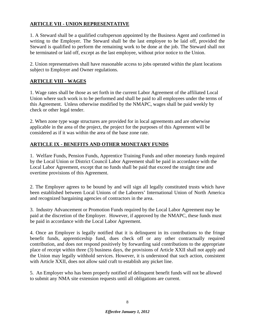## **ARTICLE VII - UNION REPRESENTATIVE**

1. A Steward shall be a qualified craftsperson appointed by the Business Agent and confirmed in writing to the Employer. The Steward shall be the last employee to be laid off, provided the Steward is qualified to perform the remaining work to be done at the job. The Steward shall not be terminated or laid off, except as the last employee, without prior notice to the Union.

2. Union representatives shall have reasonable access to jobs operated within the plant locations subject to Employer and Owner regulations.

#### **ARTICLE VIII - WAGES**

1. Wage rates shall be those as set forth in the current Labor Agreement of the affiliated Local Union where such work is to be performed and shall be paid to all employees under the terms of this Agreement. Unless otherwise modified by the NMAPC, wages shall be paid weekly by check or other legal tender.

2. When zone type wage structures are provided for in local agreements and are otherwise applicable in the area of the project, the project for the purposes of this Agreement will be considered as if it was within the area of the base zone rate.

## **ARTICLE IX - BENEFITS AND OTHER MONETARY FUNDS**

1. Welfare Funds, Pension Funds, Apprentice Training Funds and other monetary funds required by the Local Union or District Council Labor Agreement shall be paid in accordance with the Local Labor Agreement, except that no funds shall be paid that exceed the straight time and overtime provisions of this Agreement.

2. The Employer agrees to be bound by and will sign all legally constituted trusts which have been established between Local Unions of the Laborers' International Union of North America and recognized bargaining agencies of contractors in the area.

3. Industry Advancement or Promotion Funds required by the Local Labor Agreement may be paid at the discretion of the Employer. However, if approved by the NMAPC, these funds must be paid in accordance with the Local Labor Agreement.

4. Once an Employer is legally notified that it is delinquent in its contributions to the fringe benefit funds, apprenticeship fund, dues check off or any other contractually required contribution, and does not respond positively by forwarding said contributions to the appropriate place of receipt within three (3) business days, the provisions of Article XXII shall not apply and the Union may legally withhold services. However, it is understood that such action, consistent with Article XXII, does not allow said craft to establish any picket line.

5. An Employer who has been properly notified of delinquent benefit funds will not be allowed to submit any NMA site extension requests until all obligations are current.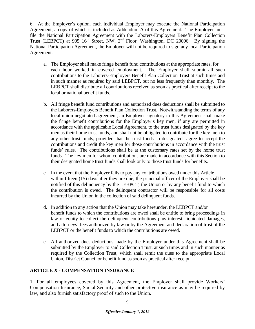6. At the Employer's option, each individual Employer may execute the National Participation Agreement, a copy of which is included as Addendum A of this Agreement. The Employer must file the National Participation Agreement with the Laborers-Employers Benefit Plan Collection Trust (LEBPCT) at  $905 \, 16^{th}$  Street, NW,  $2^{nd}$  Floor, Washington, DC 20006. By signing the National Participation Agreement, the Employer will not be required to sign any local Participation Agreement.

- a. The Employer shall make fringe benefit fund contributions at the appropriate rates, for each hour worked in covered employment. The Employer shall submit all such contributions to the Laborers-Employers Benefit Plan Collection Trust at such times and in such manner as required by said LEBPCT, but no less frequently than monthly. The LEBPCT shall distribute all contributions received as soon as practical after receipt to the local or national benefit funds.
- b. All fringe benefit fund contributions and authorized dues deductions shall be submitted to the Laborers-Employers Benefit Plan Collection Trust. Notwithstanding the terms of any local union negotiated agreement, an Employer signatory to this Agreement shall make the fringe benefit contributions for the Employer's key men, if any are permitted in accordance with the applicable Local Agreement, to the trust funds designated by the key men as their home trust funds, and shall not be obligated to contribute for the key men to any other trust funds, provided that the trust funds so designated agree to accept the contributions and credit the key men for those contributions in accordance with the trust funds' rules. The contributions shall be at the customary rates set by the home trust funds. The key men for whom contributions are made in accordance with this Section to their designated home trust funds shall look only to those trust funds for benefits.
- c. In the event that the Employer fails to pay any contributions owed under this Article within fifteen (15) days after they are due, the principal officer of the Employer shall be notified of this delinquency by the LEBPCT, the Union or by any benefit fund to which the contribution is owed. The delinquent contractor will be responsible for all costs incurred by the Union in the collection of said delinquent funds.
- d. In addition to any action that the Union may take hereunder, the LEBPCT and/or benefit funds to which the contributions are owed shall be entitle to bring proceedings in law or equity to collect the delinquent contributions plus interest, liquidated damages, and attorneys' fees authorized by law or by the Agreement and declaration of trust of the LEBPCT or the benefit funds to which the contributions are owed.
- e. All authorized dues deductions made by the Employer under this Agreement shall be submitted by the Employer to said Collection Trust, at such times and in such manner as required by the Collection Trust, which shall remit the dues to the appropriate Local Union, District Council or benefit fund as soon as practical after receipt.

## **ARTICLE X - COMPENSATION INSURANCE**

1. For all employees covered by this Agreement, the Employer shall provide Workers' Compensation Insurance, Social Security and other protective insurance as may be required by law, and also furnish satisfactory proof of such to the Union.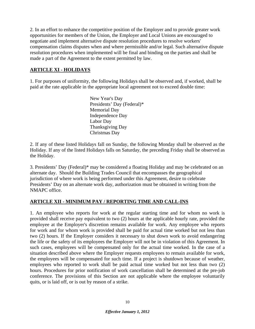2. In an effort to enhance the competitive position of the Employer and to provide greater work opportunities for members of the Union, the Employer and Local Unions are encouraged to negotiate and implement alternative dispute resolution procedures to resolve workers' compensation claims disputes when and where permissible and/or legal. Such alternative dispute resolution procedures when implemented will be final and binding on the parties and shall be made a part of the Agreement to the extent permitted by law.

#### **ARTICLE XI - HOLIDAYS**

1. For purposes of uniformity, the following Holidays shall be observed and, if worked, shall be paid at the rate applicable in the appropriate local agreement not to exceed double time:

> New Year's Day Presidents' Day (Federal)\* Memorial Day Independence Day Labor Day Thanksgiving Day Christmas Day

2. If any of these listed Holidays fall on Sunday, the following Monday shall be observed as the Holiday. If any of the listed Holidays falls on Saturday, the preceding Friday shall be observed as the Holiday.

3. Presidents' Day (Federal)\* may be considered a floating Holiday and may be celebrated on an alternate day. Should the Building Trades Council that encompasses the geographical jurisdiction of where work is being performed under this Agreement, desire to celebrate Presidents' Day on an alternate work day, authorization must be obtained in writing from the NMAPC office.

#### **ARTICLE XII - MINIMUM PAY / REPORTING TIME AND CALL-INS**

1. An employee who reports for work at the regular starting time and for whom no work is provided shall receive pay equivalent to two (2) hours at the applicable hourly rate, provided the employee at the Employer's discretion remains available for work. Any employee who reports for work and for whom work is provided shall be paid for actual time worked but not less than two (2) hours. If the Employer considers it necessary to shut down work to avoid endangering the life or the safety of its employees the Employer will not be in violation of this Agreement. In such cases, employees will be compensated only for the actual time worked. In the case of a situation described above where the Employer requests employees to remain available for work, the employees will be compensated for such time. If a project is shutdown because of weather, employees who reported to work shall be paid actual time worked but not less than two (2) hours. Procedures for prior notification of work cancellation shall be determined at the pre-job conference. The provisions of this Section are not applicable where the employee voluntarily quits, or is laid off, or is out by reason of a strike.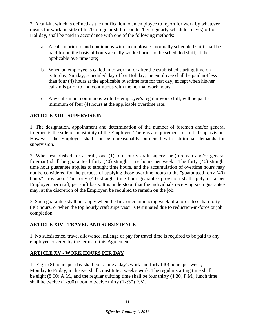2. A call-in, which is defined as the notification to an employee to report for work by whatever means for work outside of his/her regular shift or on his/her regularly scheduled day(s) off or Holiday, shall be paid in accordance with one of the following methods:

- a. A call-in prior to and continuous with an employee's normally scheduled shift shall be paid for on the basis of hours actually worked prior to the scheduled shift, at the applicable overtime rate;
- b. When an employee is called in to work at or after the established starting time on Saturday, Sunday, scheduled day off or Holiday, the employee shall be paid not less than four (4) hours at the applicable overtime rate for that day, except when his/her call-in is prior to and continuous with the normal work hours.
- c. Any call-in not continuous with the employee's regular work shift, will be paid a minimum of four (4) hours at the applicable overtime rate.

## **ARTICLE XIII - SUPERVISION**

1. The designation, appointment and determination of the number of foremen and/or general foremen is the sole responsibility of the Employer. There is a requirement for initial supervision. However, the Employer shall not be unreasonably burdened with additional demands for supervision.

2. When established for a craft, one (1) top hourly craft supervisor (foreman and/or general foreman) shall be guaranteed forty (40) straight time hours per week. The forty (40) straight time hour guarantee applies to straight time hours, and the accumulation of overtime hours may not be considered for the purpose of applying those overtime hours to the "guaranteed forty (40) hours" provision. The forty (40) straight time hour guarantee provision shall apply on a per Employer, per craft, per shift basis. It is understood that the individuals receiving such guarantee may, at the discretion of the Employer, be required to remain on the job.

3. Such guarantee shall not apply when the first or commencing week of a job is less than forty (40) hours, or when the top hourly craft supervisor is terminated due to reduction-in-force or job completion.

#### **ARTICLE XIV - TRAVEL AND SUBSISTENCE**

1. No subsistence, travel allowance, mileage or pay for travel time is required to be paid to any employee covered by the terms of this Agreement.

## **ARTICLE XV - WORK HOURS PER DAY**

1. Eight (8) hours per day shall constitute a day's work and forty (40) hours per week, Monday to Friday, inclusive, shall constitute a week's work. The regular starting time shall be eight (8:00) A.M., and the regular quitting time shall be four thirty (4:30) P.M.; lunch time shall be twelve (12:00) noon to twelve thirty (12:30) P.M.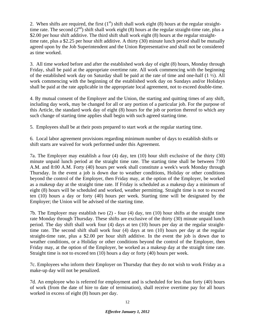2. When shifts are required, the first  $(1<sup>st</sup>)$  shift shall work eight (8) hours at the regular straighttime rate. The second  $(2^{nd})$  shift shall work eight (8) hours at the regular straight-time rate, plus a \$2.00 per hour shift additive. The third shift shall work eight (8) hours at the regular straighttime rate, plus a \$2.25 per hour shift additive. A thirty (30) minute lunch period shall be mutually agreed upon by the Job Superintendent and the Union Representative and shall not be considered as time worked.

3. All time worked before and after the established work day of eight (8) hours, Monday through Friday, shall be paid at the appropriate overtime rate. All work commencing with the beginning of the established work day on Saturday shall be paid at the rate of time and one-half (1 ½). All work commencing with the beginning of the established work day on Sundays and/or Holidays shall be paid at the rate applicable in the appropriate local agreement, not to exceed double-time.

4. By mutual consent of the Employer and the Union, the starting and quitting times of any shift, including day work, may be changed for all or any portion of a particular job. For the purpose of this Article, the standard work day of eight (8) hours for the job or portion thereof to which any such change of starting time applies shall begin with such agreed starting time.

5. Employees shall be at their posts prepared to start work at the regular starting time.

6. Local labor agreement provisions regarding minimum number of days to establish shifts or shift starts are waived for work performed under this Agreement.

7a. The Employer may establish a four (4) day, ten (10) hour shift exclusive of the thirty (30) minute unpaid lunch period at the straight time rate. The starting time shall be between 7:00 A.M. and 8:00 A.M. Forty (40) hours per week shall constitute a week's work Monday through Thursday. In the event a job is down due to weather conditions, Holiday or other conditions beyond the control of the Employer, then Friday may, at the option of the Employer, be worked as a makeup day at the straight time rate. If Friday is scheduled as a makeup day a minimum of eight (8) hours will be scheduled and worked, weather permitting. Straight time is not to exceed ten (10) hours a day or forty (40) hours per week. Starting time will be designated by the Employer; the Union will be advised of the starting time.

7b. The Employer may establish two (2) - four (4) day, ten (10) hour shifts at the straight time rate Monday through Thursday. These shifts are exclusive of the thirty (30) minute unpaid lunch period. The day shift shall work four (4) days at ten (10) hours per day at the regular straighttime rate. The second shift shall work four (4) days at ten (10) hours per day at the regular straight-time rate, plus a \$2.00 per hour shift additive. In the event the job is down due to weather conditions, or a Holiday or other conditions beyond the control of the Employer, then Friday may, at the option of the Employer, be worked as a makeup day at the straight time rate. Straight time is not to exceed ten (10) hours a day or forty (40) hours per week.

7c. Employees who inform their Employer on Thursday that they do not wish to work Friday as a make-up day will not be penalized.

7d. An employee who is referred for employment and is scheduled for less than forty (40) hours of work (from the date of hire to date of termination), shall receive overtime pay for all hours worked in excess of eight (8) hours per day.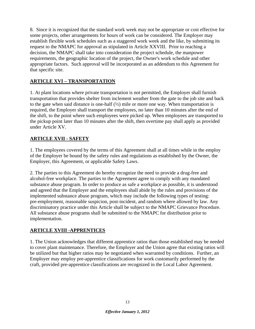8. Since it is recognized that the standard work week may not be appropriate or cost effective for some projects, other arrangements for hours of work can be considered. The Employer may establish flexible work schedules such as a staggered work week and the like, by submitting its request to the NMAPC for approval as stipulated in Article XXVIII. Prior to reaching a decision, the NMAPC shall take into consideration the project schedule, the manpower requirements, the geographic location of the project, the Owner's work schedule and other appropriate factors. Such approval will be incorporated as an addendum to this Agreement for that specific site.

## **ARTICLE XVI – TRANSPORTATION**

1. At plant locations where private transportation is not permitted, the Employer shall furnish transportation that provides shelter from inclement weather from the gate to the job site and back to the gate when said distance is one-half  $(\frac{1}{2})$  mile or more one way. When transportation is required, the Employer shall transport the employees, no later than 10 minutes after the end of the shift, to the point where such employees were picked up. When employees are transported to the pickup point later than 10 minutes after the shift, then overtime pay shall apply as provided under Article XV.

## **ARTICLE XVII - SAFETY**

1. The employees covered by the terms of this Agreement shall at all times while in the employ of the Employer be bound by the safety rules and regulations as established by the Owner, the Employer, this Agreement, or applicable Safety Laws.

2. The parties to this Agreement do hereby recognize the need to provide a drug-free and alcohol-free workplace. The parties to the Agreement agree to comply with any mandated substance abuse program. In order to produce as safe a workplace as possible, it is understood and agreed that the Employer and the employees shall abide by the rules and provisions of the implemented substance abuse program, which may include the following types of testing: pre-employment, reasonable suspicion, post-incident, and random where allowed by law. Any discriminatory practice under this Article shall be subject to the NMAPC Grievance Procedure. All substance abuse programs shall be submitted to the NMAPC for distribution prior to implementation.

## **ARTICLE XVIII -APPRENTICES**

1. The Union acknowledges that different apprentice ratios than those established may be needed to cover plant maintenance. Therefore, the Employer and the Union agree that existing ratios will be utilized but that higher ratios may be negotiated when warranted by conditions. Further, an Employer may employ pre-apprentice classifications for work customarily performed by the craft, provided pre-apprentice classifications are recognized in the Local Labor Agreement.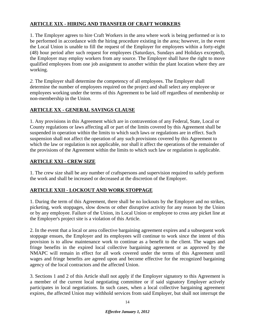## **ARTICLE XIX - HIRING AND TRANSFER OF CRAFT WORKERS**

1. The Employer agrees to hire Craft Workers in the area where work is being performed or is to be performed in accordance with the hiring procedure existing in the area; however, in the event the Local Union is unable to fill the request of the Employer for employees within a forty-eight (48) hour period after such request for employees (Saturdays, Sundays and Holidays excepted), the Employer may employ workers from any source. The Employer shall have the right to move qualified employees from one job assignment to another within the plant location where they are working.

*2.* The Employer shall determine the competency of all employees. The Employer shall determine the number of employees required on the project and shall select any employee or employees working under the terms of this Agreement to be laid off regardless of membership or non-membership in the Union.

#### **ARTICLE XX - GENERAL SAVINGS CLAUSE**

1. Any provisions in this Agreement which are in contravention of any Federal, State, Local or County regulations or laws affecting all or part of the limits covered by this Agreement shall be suspended in operation within the limits to which such laws or regulations are in effect. Such suspension shall not affect the operation of any such provisions covered by this Agreement to which the law or regulation is not applicable, nor shall it affect the operations of the remainder of the provisions of the Agreement within the limits to which such law or regulation is applicable.

#### **ARTICLE XXI - CREW SIZE**

1. The crew size shall be any number of craftspersons and supervision required to safely perform the work and shall be increased or decreased at the discretion of the Employer.

## **ARTICLE XXII - LOCKOUT AND WORK STOPPAGE**

1. During the term of this Agreement, there shall be no lockouts by the Employer and no strikes, picketing, work stoppages, slow downs or other disruptive activity for any reason by the Union or by any employee. Failure of the Union, its Local Union or employee to cross any picket line at the Employer's project site is a violation of this Article.

2. In the event that a local or area collective bargaining agreement expires and a subsequent work stoppage ensues, the Employer and its employees will continue to work since the intent of this provision is to allow maintenance work to continue as a benefit to the client. The wages and fringe benefits in the expired local collective bargaining agreement or as approved by the NMAPC will remain in effect for all work covered under the terms of this Agreement until wages and fringe benefits are agreed upon and become effective for the recognized bargaining agency of the local contractors and the affected Union.

3. Sections 1 and 2 of this Article shall not apply if the Employer signatory to this Agreement is a member of the current local negotiating committee or if said signatory Employer actively participates in local negotiations. In such cases, when a local collective bargaining agreement expires, the affected Union may withhold services from said Employer, but shall not interrupt the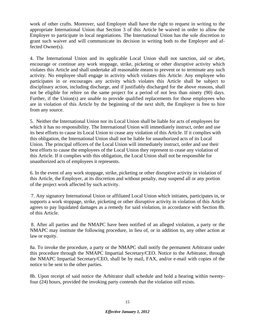work of other crafts. Moreover, said Employer shall have the right to request in writing to the appropriate International Union that Section 3 of this Article be waived in order to allow the Employer to participate in local negotiations. The International Union has the sole discretion to grant such waiver and will communicate its decision in writing both to the Employer and affected Owner(s).

4. The International Union and its applicable Local Union shall not sanction, aid or abet, encourage or continue any work stoppage, strike, picketing or other disruptive activity which violates this Article and shall undertake all reasonable means to prevent or to terminate any such activity. No employee shall engage in activity which violates this Article. Any employee who participates in or encourages any activity which violates this Article shall be subject to disciplinary action, including discharge, and if justifiably discharged for the above reasons, shall not be eligible for rehire on the same project for a period of not less than ninety (90) days. Further, if the Union(s) are unable to provide qualified replacements for those employees who are in violation of this Article by the beginning of the next shift, the Employer is free to hire from any source.

5. Neither the International Union nor its Local Union shall be liable for acts of employees for which it has no responsibility. The International Union will immediately instruct, order and use its best efforts to cause its Local Union to cease any violation of this Article. If it complies with this obligation, the International Union shall not be liable for unauthorized acts of its Local Union. The principal officers of the Local Union will immediately instruct, order and use their best efforts to cause the employees of the Local Union they represent to cease any violation of this Article. If it complies with this obligation, the Local Union shall not be responsible for unauthorized acts of employees it represents.

6. In the event of any work stoppage, strike, picketing or other disruptive activity in violation of this Article, the Employer, at its discretion and without penalty, may suspend all or any portion of the project work affected by such activity.

7. Any signatory International Union or affiliated Local Union which initiates, participates in, or supports a work stoppage, strike, picketing or other disruptive activity in violation of this Article agrees to pay liquidated damages as a remedy for said violation, in accordance with Section 8h. of this Article.

8. After all parties and the NMAPC have been notified of an alleged violation, a party or the NMAPC may institute the following procedure, in lieu of, or in addition to, any other action at law or equity.

8a. To invoke the procedure, a party or the NMAPC shall notify the permanent Arbitrator under this procedure through the NMAPC Impartial Secretary/CEO. Notice to the Arbitrator, through the NMAPC Impartial Secretary/CEO, shall be by mail, FAX, and/or e-mail with copies of the notice to be sent to the other parties.

8b. Upon receipt of said notice the Arbitrator shall schedule and hold a hearing within twentyfour (24) hours, provided the invoking party contends that the violation still exists.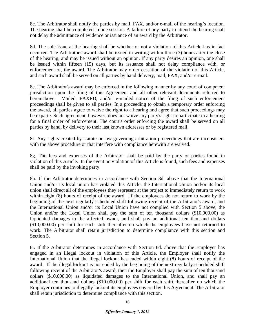8c. The Arbitrator shall notify the parties by mail, FAX, and/or e-mail of the hearing's location. The hearing shall be completed in one session. A failure of any party to attend the hearing shall not delay the admittance of evidence or issuance of an award by the Arbitrator.

8d. The sole issue at the hearing shall be whether or not a violation of this Article has in fact occurred. The Arbitrator's award shall be issued in writing within three (3) hours after the close of the hearing, and may be issued without an opinion. If any party desires an opinion, one shall be issued within fifteen (15) days, but its issuance shall not delay compliance with, or enforcement of, the award. The Arbitrator may order cessation of the violation of this Article, and such award shall be served on all parties by hand delivery, mail, FAX, and/or e-mail.

8e. The Arbitrator's award may be enforced in the following manner by any court of competent jurisdiction upon the filing of this Agreement and all other relevant documents referred to hereinabove. Mailed, FAXED, and/or e-mailed notice of the filing of such enforcement proceedings shall be given to all parties. In a proceeding to obtain a temporary order enforcing the award, all parties agree to waive the right to a hearing and agree that such proceedings may be exparte. Such agreement, however, does not waive any party's right to participate in a hearing for a final order of enforcement. The court's order enforcing the award shall be served on all parties by hand, by delivery to their last known addresses or by registered mail.

8f. Any rights created by statute or law governing arbitration proceedings that are inconsistent with the above procedure or that interfere with compliance herewith are waived.

8g. The fees and expenses of the Arbitrator shall be paid by the party or parties found in violation of this Article. In the event no violation of this Article is found, such fees and expenses shall be paid by the invoking party.

8h. If the Arbitrator determines in accordance with Section 8d. above that the International Union and/or its local union has violated this Article, the International Union and/or its local union shall direct all of the employees they represent at the project to immediately return to work within eight (8) hours of receipt of the award. If the employees do not return to work by the beginning of the next regularly scheduled shift following receipt of the Arbitrator's award, and the International Union and/or its Local Union have not complied with Section 5 above, the Union and/or the Local Union shall pay the sum of ten thousand dollars (\$10,000.00) as liquidated damages to the affected owner, and shall pay an additional ten thousand dollars (\$10,000.00) per shift for each shift thereafter on which the employees have not returned to work. The Arbitrator shall retain jurisdiction to determine compliance with this section and Section 5.

8i. If the Arbitrator determines in accordance with Section 8d. above that the Employer has engaged in an illegal lockout in violation of this Article, the Employer shall notify the International Union that the illegal lockout has ended within eight (8) hours of receipt of the award. If the illegal lockout is not ended by the beginning of the next regularly scheduled shift following receipt of the Arbitrator's award, then the Employer shall pay the sum of ten thousand dollars (\$10,000.00) as liquidated damages to the International Union, and shall pay an additional ten thousand dollars (\$10,000.00) per shift for each shift thereafter on which the Employer continues to illegally lockout its employees covered by this Agreement. The Arbitrator shall retain jurisdiction to determine compliance with this section.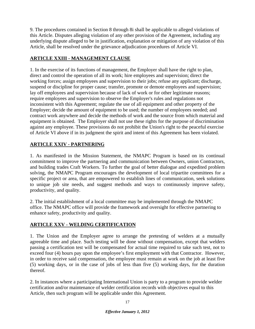9. The procedures contained in Section 8 through 8i shall be applicable to alleged violations of this Article. Disputes alleging violation of any other provision of the Agreement, including any underlying dispute alleged to be in justification, explanation or mitigation of any violation of this Article, shall be resolved under the grievance adjudication procedures of Article VI.

## **ARTICLE XXIII - MANAGEMENT CLAUSE**

1. In the exercise of its functions of management, the Employer shall have the right to plan, direct and control the operation of all its work; hire employees and supervision; direct the working forces; assign employees and supervision to their jobs; refuse any applicant; discharge, suspend or discipline for proper cause; transfer, promote or demote employees and supervision; lay off employees and supervision because of lack of work or for other legitimate reasons; require employees and supervision to observe the Employer's rules and regulations not inconsistent with this Agreement; regulate the use of all equipment and other property of the Employer; decide the amount of equipment to be used; the number of employees needed; and contract work anywhere and decide the methods of work and the source from which material and equipment is obtained. The Employer shall not use these rights for the purpose of discrimination against any employee. These provisions do not prohibit the Union's right to the peaceful exercise of Article VI above if in its judgment the spirit and intent of this Agreement has been violated.

## **ARTICLE XXIV - PARTNERING**

1. As manifested in the Mission Statement, the NMAPC Program is based on its continual commitment to improve the partnering and communication between Owners, union Contractors, and building trades Craft Workers. To further the goal of better dialogue and expedited problem solving, the NMAPC Program encourages the development of local tripartite committees for a specific project or area, that are empowered to establish lines of communication, seek solutions to unique job site needs, and suggest methods and ways to continuously improve safety, productivity, and quality.

2. The initial establishment of a local committee may be implemented through the NMAPC office. The NMAPC office will provide the framework and oversight for effective partnering to enhance safety, productivity and quality.

## **ARTICLE XXV - WELDING CERTIFICATION**

1. The Union and the Employer agree to arrange the pretesting of welders at a mutually agreeable time and place. Such testing will be done without compensation, except that welders passing a certification test will be compensated for actual time required to take such test, not to exceed four (4) hours pay upon the employee's first employment with that Contractor. However, in order to receive said compensation, the employee must remain at work on the job at least five (5) working days, or in the case of jobs of less than five (5) working days, for the duration thereof.

2. In instances where a participating International Union is party to a program to provide welder certification and/or maintenance of welder certification records with objectives equal to this Article, then such program will be applicable under this Agreement.

#### *Effective January 1, 2012*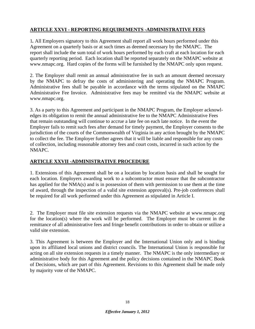## **ARTICLE XXVI - REPORTING REQUIREMENTS -ADMINISTRATIVE FEES**

1*.* All Employers signatory to this Agreement shall report all work hours performed under this Agreement on a quarterly basis or at such times as deemed necessary by the NMAPC. The report shall include the sum total of work hours performed by each craft at each location for each quarterly reporting period. Each location shall be reported separately on the NMAPC website at www.nmapc.org. Hard copies of the forms will be furnished by the NMAPC only upon request.

2. The Employer shall remit an annual administrative fee in such an amount deemed necessary by the NMAPC to defray the costs of administering and operating the NMAPC Program. Administrative fees shall be payable in accordance with the terms stipulated on the NMAPC Administrative Fee Invoice. Administrative fees may be remitted via the NMAPC website at www.nmapc.org.

3. As a party to this Agreement and participant in the NMAPC Program, the Employer acknowledges its obligation to remit the annual administrative fee to the NMAPC Administrative Fees that remain outstanding will continue to accrue a late fee on each late notice. In the event the Employer fails to remit such fees after demand for timely payment, the Employer consents to the jurisdiction of the courts of the Commonwealth of Virginia in any action brought by the NMAPC to collect the fee. The Employer further agrees that it will be liable and responsible for any costs of collection, including reasonable attorney fees and court costs, incurred in such action by the NMAPC.

#### **ARTICLE XXVII -ADMINISTRATIVE PROCEDURE**

1. Extensions of this Agreement shall be on a location by location basis and shall be sought for each location. Employers awarding work to a subcontractor must ensure that the subcontractor has applied for the NMA(s) and is in possession of them with permission to use them at the time of award, through the inspection of a valid site extension approval(s). Pre-job conferences shall be required for all work performed under this Agreement as stipulated in Article I.

2. The Employer must file site extension requests via the NMAPC website at www.nmapc.org for the location(s) where the work will be performed. The Employer must be current in the remittance of all administrative fees and fringe benefit contributions in order to obtain or utilize a valid site extension.

3. This Agreement is between the Employer and the International Union only and is binding upon its affiliated local unions and district councils. The International Union is responsible for acting on all site extension requests in a timely manner. The NMAPC is the only intermediary or administrative body for this Agreement and the policy decisions contained in the NMAPC Book of Decisions, which are part of this Agreement. Revisions to this Agreement shall be made only by majority vote of the NMAPC.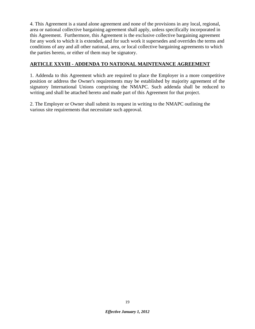4. This Agreement is a stand alone agreement and none of the provisions in any local, regional, area or national collective bargaining agreement shall apply, unless specifically incorporated in this Agreement. Furthermore, this Agreement is the exclusive collective bargaining agreement for any work to which it is extended, and for such work it supersedes and overrides the terms and conditions of any and all other national, area, or local collective bargaining agreements to which the parties hereto, or either of them may be signatory.

#### **ARTICLE XXVIII - ADDENDA TO NATIONAL MAINTENANCE AGREEMENT**

1. Addenda to this Agreement which are required to place the Employer in a more competitive position or address the Owner's requirements may be established by majority agreement of the signatory International Unions comprising the NMAPC. Such addenda shall be reduced to writing and shall be attached hereto and made part of this Agreement for that project.

2. The Employer or Owner shall submit its request in writing to the NMAPC outlining the various site requirements that necessitate such approval.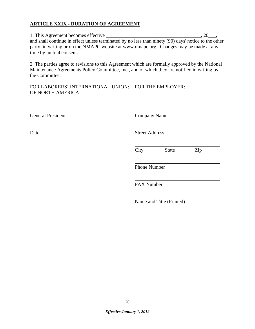## **ARTICLE XXIX - DURATION OF AGREEMENT**

1. This Agreement becomes effective \_\_\_\_\_\_\_\_\_\_\_\_\_\_\_\_\_\_\_\_\_\_\_\_\_\_\_\_\_\_\_\_\_\_\_\_\_\_, 20\_\_\_, and shall continue in effect unless terminated by no less than ninety (90) days' notice to the other party, in writing or on the NMAPC website at www.nmapc.org. Changes may be made at any time by mutual consent.

2. The parties agree to revisions to this Agreement which are formally approved by the National Maintenance Agreements Policy Committee, Inc., and of which they are notified in writing by the Committee.

FOR LABORERS' INTERNATIONAL UNION: FOR THE EMPLOYER: OF NORTH AMERICA

 \_ \_\_\_\_\_\_\_\_\_\_\_\_\_\_\_\_\_\_\_\_\_\_ General President Company Name

\_\_\_\_\_\_\_\_\_\_\_\_\_\_\_\_\_\_\_\_\_\_\_\_\_\_\_\_\_\_ \_\_\_\_\_\_\_\_\_\_\_\_\_\_\_\_\_\_\_\_\_\_\_\_\_\_\_\_\_\_\_\_\_\_ Date Street Address

 $\overline{\phantom{a}}$  , which is a set of the set of the set of the set of the set of the set of the set of the set of the set of the set of the set of the set of the set of the set of the set of the set of the set of the set of th City State Zip

 $\overline{\phantom{a}}$  , which is a set of the contract of the contract of the contract of the contract of the contract of the contract of the contract of the contract of the contract of the contract of the contract of the contract Phone Number

 $\overline{\phantom{a}}$  , which is a set of the contract of the contract of the contract of the contract of the contract of the contract of the contract of the contract of the contract of the contract of the contract of the contract FAX Number

 $\overline{\phantom{a}}$  , which is a set of the set of the set of the set of the set of the set of the set of the set of the set of the set of the set of the set of the set of the set of the set of the set of the set of the set of th Name and Title (Printed)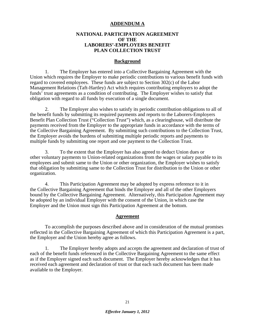#### **ADDENDUM A**

#### **NATIONAL PARTICIPATION AGREEMENT OF THE LABORERS'-EMPLOYERS BENEFIT PLAN COLLECTION TRUST**

#### **Background**

 1. The Employer has entered into a Collective Bargaining Agreement with the Union which requires the Employer to make periodic contributions to various benefit funds with regard to covered employees. These funds are subject to Section 302(c) of the Labor Management Relations (Taft-Hartley) Act which requires contributing employers to adopt the funds' trust agreements as a condition of contributing. The Employer wishes to satisfy that obligation with regard to all funds by execution of a single document.

 2. The Employer also wishes to satisfy its periodic contribution obligations to all of the benefit funds by submitting its required payments and reports to the Laborers-Employers Benefit Plan Collection Trust ("Collection Trust") which, as a clearinghouse, will distribute the payments received from the Employer to the appropriate funds in accordance with the terms of the Collective Bargaining Agreement. By submitting such contributions to the Collection Trust, the Employer avoids the burdens of submitting multiple periodic reports and payments to multiple funds by submitting one report and one payment to the Collection Trust.

 3. To the extent that the Employer has also agreed to deduct Union dues or other voluntary payments to Union-related organizations from the wages or salary payable to its employees and submit same to the Union or other organization, the Employer wishes to satisfy that obligation by submitting same to the Collection Trust for distribution to the Union or other organization.

 4. This Participation Agreement may be adopted by express reference to it in the Collective Bargaining Agreement that binds the Employer and all of the other Employers bound by the Collective Bargaining Agreement. Alternatively, this Participation Agreement may be adopted by an individual Employer with the consent of the Union, in which case the Employer and the Union must sign this Participation Agreement at the bottom.

#### **Agreement**

 To accomplish the purposes described above and in consideration of the mutual promises reflected in the Collective Bargaining Agreement of which this Participation Agreement is a part, the Employer and the Union hereby agree as follows.

 1. The Employer hereby adopts and accepts the agreement and declaration of trust of each of the benefit funds referenced in the Collective Bargaining Agreement to the same effect as if the Employer signed each such document. The Employer hereby acknowledges that it has received each agreement and declaration of trust or that each such document has been made available to the Employer.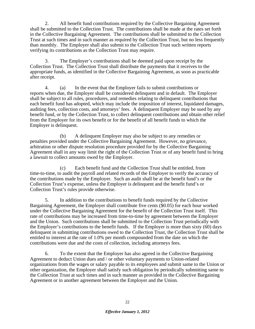2. All benefit fund contributions required by the Collective Bargaining Agreement shall be submitted to the Collection Trust. The contributions shall be made at the rates set forth in the Collective Bargaining Agreement. The contributions shall be submitted to the Collection Trust at such times and in such manner as required by the Collection Trust, but no less frequently than monthly. The Employer shall also submit to the Collection Trust such written reports verifying its contributions as the Collection Trust may require.

 3. The Employer's contributions shall be deemed paid upon receipt by the Collection Trust. The Collection Trust shall distribute the payments that it receives to the appropriate funds, as identified in the Collective Bargaining Agreement, as soon as practicable after receipt.

 4. (a) In the event that the Employer fails to submit contributions or reports when due, the Employer shall be considered delinquent and in default. The Employer shall be subject to all rules, procedures, and remedies relating to delinquent contributions that each benefit fund has adopted, which may include the imposition of interest, liquidated damages, auditing fees, collection costs, and attorneys' fees. A delinquent Employer may be sued by any benefit fund, or by the Collection Trust, to collect delinquent contributions and obtain other relief from the Employer for its own benefit or for the benefit of all benefit funds to which the Employer is delinquent.

 (b) A delinquent Employer may also be subject to any remedies or penalties provided under the Collective Bargaining Agreement. However, no grievance, arbitration or other dispute resolution procedure provided for by the Collective Bargaining Agreement shall in any way limit the right of the Collection Trust or of any benefit fund to bring a lawsuit to collect amounts owed by the Employer.

 (c) Each benefit fund and the Collection Trust shall be entitled, from time-to-time, to audit the payroll and related records of the Employer to verify the accuracy of the contributions made by the Employer. Such an audit shall be at the benefit fund's or the Collection Trust's expense, unless the Employer is delinquent and the benefit fund's or Collection Trust's rules provide otherwise.

 5. In addition to the contributions to benefit funds required by the Collective Bargaining Agreement, the Employer shall contribute five cents (\$0.05) for each hour worked under the Collective Bargaining Agreement for the benefit of the Collection Trust itself. This rate of contributions may be increased from time-to-time by agreement between the Employer and the Union. Such contributions shall be submitted to the Collection Trust periodically with the Employer's contributions to the benefit funds. If the Employer is more than sixty (60) days delinquent in submitting contributions owed to the Collection Trust, the Collection Trust shall be entitled to interest at the rate of 1.0% per month compounded from the date on which the contributions were due and the costs of collection, including attorneys fees.

 6. To the extent that the Employer has also agreed in the Collective Bargaining Agreement to deduct Union dues and / or other voluntary payments to Union-related organizations from the wages or salary payable to its employees and submit same to the Union or other organization, the Employer shall satisfy such obligation by periodically submitting same to the Collection Trust at such times and in such manner as provided in the Collective Bargaining Agreement or in another agreement between the Employer and the Union.